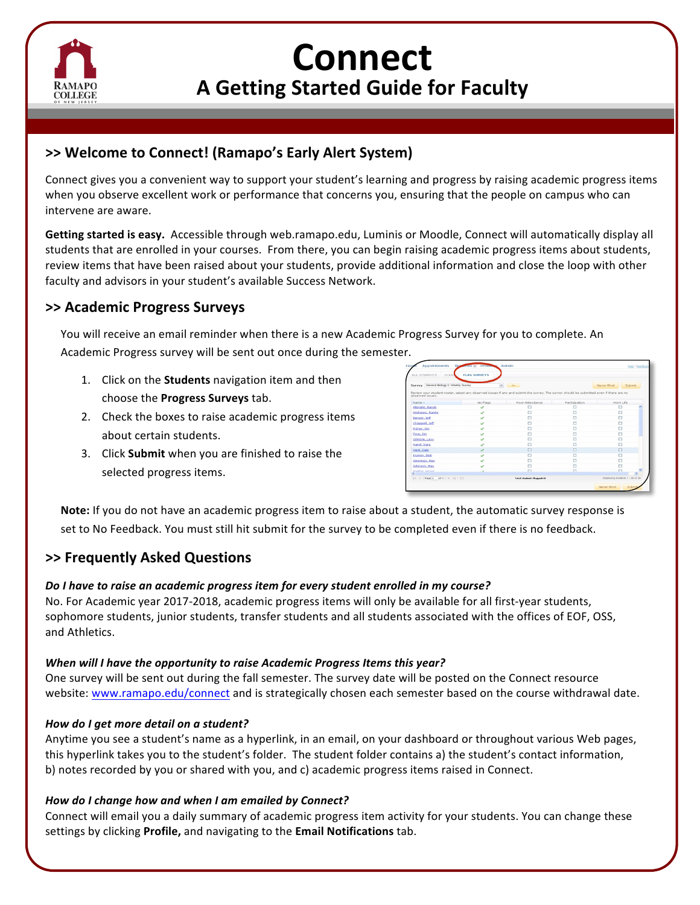

# **Connect A Getting Started Guide for Faculty**

# **>>** Welcome to Connect! (Ramapo's Early Alert System)

Connect gives you a convenient way to support your student's learning and progress by raising academic progress items when you observe excellent work or performance that concerns you, ensuring that the people on campus who can intervene are aware.

**Getting started is easy.** Accessible through web.ramapo.edu, Luminis or Moodle, Connect will automatically display all students that are enrolled in your courses. From there, you can begin raising academic progress items about students, review items that have been raised about your students, provide additional information and close the loop with other faculty and advisors in your student's available Success Network.

# **>> Academic Progress Surveys**

You will receive an email reminder when there is a new Academic Progress Survey for you to complete. An Academic Progress survey will be sent out once during the semester.

- 1. Click on the **Students** navigation item and then choose the **Progress Surveys** tab.
- 2. Check the boxes to raise academic progress items about certain students.
- 3. Click **Submit** when you are finished to raise the selected progress items.



**Note:** If you do not have an academic progress item to raise about a student, the automatic survey response is set to No Feedback. You must still hit submit for the survey to be completed even if there is no feedback.

## **>> Frequently Asked Questions**

### Do I have to raise an academic progress item for every student enrolled in my course?

No. For Academic year 2017-2018, academic progress items will only be available for all first-year students, sophomore students, junior students, transfer students and all students associated with the offices of EOF, OSS, and Athletics.

### *When* will I have the opportunity to raise Academic Progress Items this year?

One survey will be sent out during the fall semester. The survey date will be posted on the Connect resource website: www.ramapo.edu/connect and is strategically chosen each semester based on the course withdrawal date.

### *How do I get more detail on a student?*

Anytime you see a student's name as a hyperlink, in an email, on your dashboard or throughout various Web pages, this hyperlink takes you to the student's folder. The student folder contains a) the student's contact information, b) notes recorded by you or shared with you, and c) academic progress items raised in Connect.

### How do I change how and when I am emailed by Connect?

Connect will email you a daily summary of academic progress item activity for your students. You can change these settings by clicking **Profile,** and navigating to the **Email Notifications** tab.